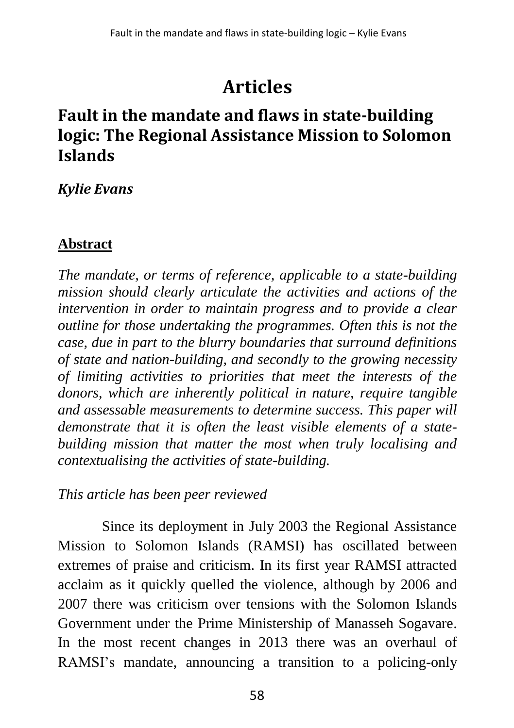# **Articles**

# **Fault in the mandate and flaws in state-building logic: The Regional Assistance Mission to Solomon Islands**

#### *Kylie Evans*

### **Abstract**

*The mandate, or terms of reference, applicable to a state-building mission should clearly articulate the activities and actions of the intervention in order to maintain progress and to provide a clear outline for those undertaking the programmes. Often this is not the case, due in part to the blurry boundaries that surround definitions of state and nation-building, and secondly to the growing necessity of limiting activities to priorities that meet the interests of the donors, which are inherently political in nature, require tangible and assessable measurements to determine success. This paper will demonstrate that it is often the least visible elements of a statebuilding mission that matter the most when truly localising and contextualising the activities of state-building.* 

#### *This article has been peer reviewed*

Since its deployment in July 2003 the Regional Assistance Mission to Solomon Islands (RAMSI) has oscillated between extremes of praise and criticism. In its first year RAMSI attracted acclaim as it quickly quelled the violence, although by 2006 and 2007 there was criticism over tensions with the Solomon Islands Government under the Prime Ministership of Manasseh Sogavare. In the most recent changes in 2013 there was an overhaul of RAMSI's mandate, announcing a transition to a policing-only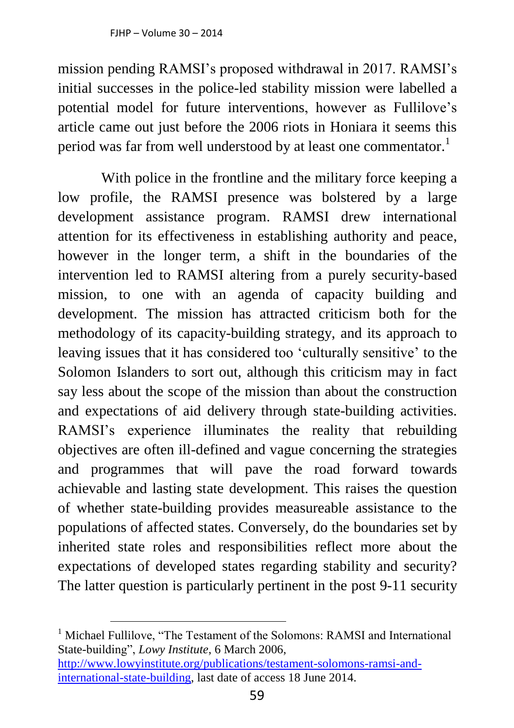mission pending RAMSI's proposed withdrawal in 2017. RAMSI's initial successes in the police-led stability mission were labelled a potential model for future interventions, however as Fullilove's article came out just before the 2006 riots in Honiara it seems this period was far from well understood by at least one commentator.<sup>1</sup>

With police in the frontline and the military force keeping a low profile, the RAMSI presence was bolstered by a large development assistance program. RAMSI drew international attention for its effectiveness in establishing authority and peace, however in the longer term, a shift in the boundaries of the intervention led to RAMSI altering from a purely security-based mission, to one with an agenda of capacity building and development. The mission has attracted criticism both for the methodology of its capacity-building strategy, and its approach to leaving issues that it has considered too 'culturally sensitive' to the Solomon Islanders to sort out, although this criticism may in fact say less about the scope of the mission than about the construction and expectations of aid delivery through state-building activities. RAMSI's experience illuminates the reality that rebuilding objectives are often ill-defined and vague concerning the strategies and programmes that will pave the road forward towards achievable and lasting state development. This raises the question of whether state-building provides measureable assistance to the populations of affected states. Conversely, do the boundaries set by inherited state roles and responsibilities reflect more about the expectations of developed states regarding stability and security? The latter question is particularly pertinent in the post 9-11 security

<sup>&</sup>lt;sup>1</sup> Michael Fullilove, "The Testament of the Solomons: RAMSI and International State-building", *Lowy Institute*, 6 March 2006, [http://www.lowyinstitute.org/publications/testament-solomons-ramsi-and](http://www.lowyinstitute.org/publications/testament-solomons-ramsi-and-international-state-building)[international-state-building,](http://www.lowyinstitute.org/publications/testament-solomons-ramsi-and-international-state-building) last date of access 18 June 2014.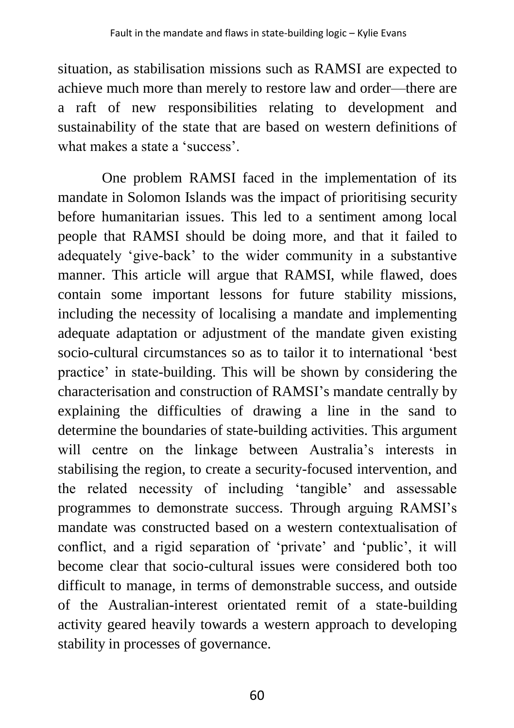situation, as stabilisation missions such as RAMSI are expected to achieve much more than merely to restore law and order—there are a raft of new responsibilities relating to development and sustainability of the state that are based on western definitions of what makes a state a 'success'.

One problem RAMSI faced in the implementation of its mandate in Solomon Islands was the impact of prioritising security before humanitarian issues. This led to a sentiment among local people that RAMSI should be doing more, and that it failed to adequately 'give-back' to the wider community in a substantive manner. This article will argue that RAMSI, while flawed, does contain some important lessons for future stability missions, including the necessity of localising a mandate and implementing adequate adaptation or adjustment of the mandate given existing socio-cultural circumstances so as to tailor it to international 'best practice' in state-building. This will be shown by considering the characterisation and construction of RAMSI's mandate centrally by explaining the difficulties of drawing a line in the sand to determine the boundaries of state-building activities. This argument will centre on the linkage between Australia's interests in stabilising the region, to create a security-focused intervention, and the related necessity of including 'tangible' and assessable programmes to demonstrate success. Through arguing RAMSI's mandate was constructed based on a western contextualisation of conflict, and a rigid separation of 'private' and 'public', it will become clear that socio-cultural issues were considered both too difficult to manage, in terms of demonstrable success, and outside of the Australian-interest orientated remit of a state-building activity geared heavily towards a western approach to developing stability in processes of governance.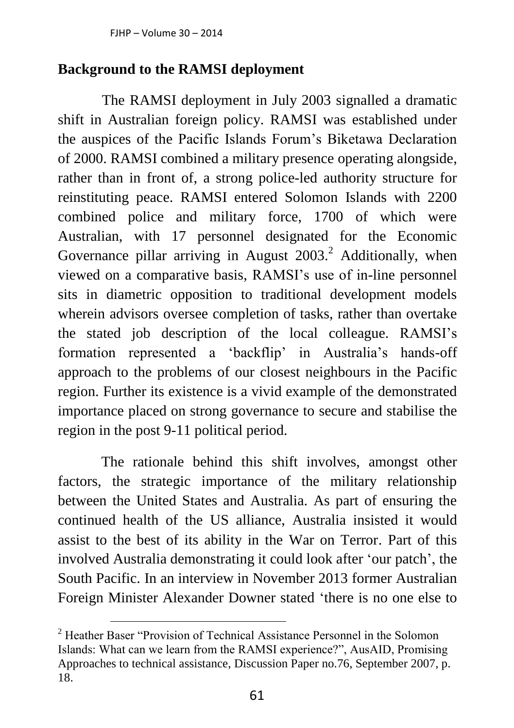#### **Background to the RAMSI deployment**

The RAMSI deployment in July 2003 signalled a dramatic shift in Australian foreign policy. RAMSI was established under the auspices of the Pacific Islands Forum's Biketawa Declaration of 2000. RAMSI combined a military presence operating alongside, rather than in front of, a strong police-led authority structure for reinstituting peace. RAMSI entered Solomon Islands with 2200 combined police and military force, 1700 of which were Australian, with 17 personnel designated for the Economic Governance pillar arriving in August  $2003<sup>2</sup>$  Additionally, when viewed on a comparative basis, RAMSI's use of in-line personnel sits in diametric opposition to traditional development models wherein advisors oversee completion of tasks, rather than overtake the stated job description of the local colleague. RAMSI's formation represented a 'backflip' in Australia's hands-off approach to the problems of our closest neighbours in the Pacific region. Further its existence is a vivid example of the demonstrated importance placed on strong governance to secure and stabilise the region in the post 9-11 political period.

The rationale behind this shift involves, amongst other factors, the strategic importance of the military relationship between the United States and Australia. As part of ensuring the continued health of the US alliance, Australia insisted it would assist to the best of its ability in the War on Terror. Part of this involved Australia demonstrating it could look after 'our patch', the South Pacific. In an interview in November 2013 former Australian Foreign Minister Alexander Downer stated 'there is no one else to

<sup>&</sup>lt;sup>2</sup> Heather Baser "Provision of Technical Assistance Personnel in the Solomon Islands: What can we learn from the RAMSI experience?", AusAID, Promising Approaches to technical assistance, Discussion Paper no.76, September 2007, p. 18.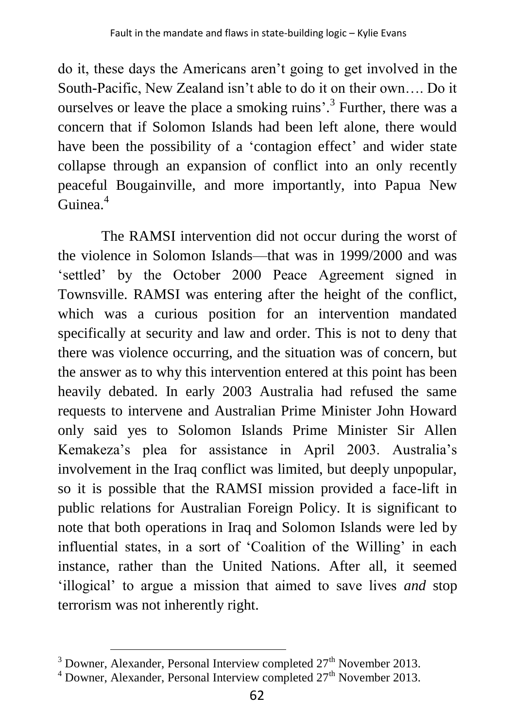do it, these days the Americans aren't going to get involved in the South-Pacific, New Zealand isn't able to do it on their own…. Do it ourselves or leave the place a smoking ruins'.<sup>3</sup> Further, there was a concern that if Solomon Islands had been left alone, there would have been the possibility of a 'contagion effect' and wider state collapse through an expansion of conflict into an only recently peaceful Bougainville, and more importantly, into Papua New Guinea.<sup>4</sup>

The RAMSI intervention did not occur during the worst of the violence in Solomon Islands—that was in 1999/2000 and was 'settled' by the October 2000 Peace Agreement signed in Townsville. RAMSI was entering after the height of the conflict, which was a curious position for an intervention mandated specifically at security and law and order. This is not to deny that there was violence occurring, and the situation was of concern, but the answer as to why this intervention entered at this point has been heavily debated. In early 2003 Australia had refused the same requests to intervene and Australian Prime Minister John Howard only said yes to Solomon Islands Prime Minister Sir Allen Kemakeza's plea for assistance in April 2003. Australia's involvement in the Iraq conflict was limited, but deeply unpopular, so it is possible that the RAMSI mission provided a face-lift in public relations for Australian Foreign Policy. It is significant to note that both operations in Iraq and Solomon Islands were led by influential states, in a sort of 'Coalition of the Willing' in each instance, rather than the United Nations. After all, it seemed 'illogical' to argue a mission that aimed to save lives *and* stop terrorism was not inherently right.

 $3$  Downer, Alexander, Personal Interview completed  $27<sup>th</sup>$  November 2013.

<sup>&</sup>lt;sup>4</sup> Downer, Alexander, Personal Interview completed 27<sup>th</sup> November 2013.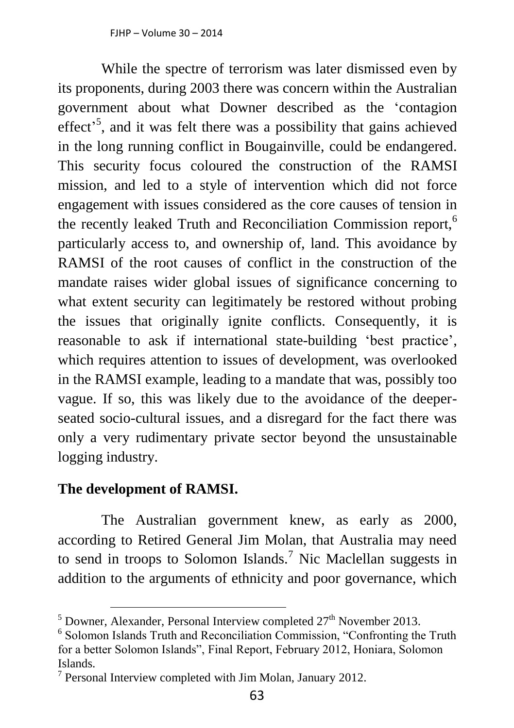While the spectre of terrorism was later dismissed even by its proponents, during 2003 there was concern within the Australian government about what Downer described as the 'contagion effect<sup>5</sup>, and it was felt there was a possibility that gains achieved in the long running conflict in Bougainville, could be endangered. This security focus coloured the construction of the RAMSI mission, and led to a style of intervention which did not force engagement with issues considered as the core causes of tension in the recently leaked Truth and Reconciliation Commission report,<sup>6</sup> particularly access to, and ownership of, land. This avoidance by RAMSI of the root causes of conflict in the construction of the mandate raises wider global issues of significance concerning to what extent security can legitimately be restored without probing the issues that originally ignite conflicts. Consequently, it is reasonable to ask if international state-building 'best practice', which requires attention to issues of development, was overlooked in the RAMSI example, leading to a mandate that was, possibly too vague. If so, this was likely due to the avoidance of the deeperseated socio-cultural issues, and a disregard for the fact there was only a very rudimentary private sector beyond the unsustainable logging industry.

#### **The development of RAMSI.**

 $\overline{a}$ 

The Australian government knew, as early as 2000, according to Retired General Jim Molan, that Australia may need to send in troops to Solomon Islands.<sup>7</sup> Nic Maclellan suggests in addition to the arguments of ethnicity and poor governance, which

 $<sup>5</sup>$  Downer, Alexander, Personal Interview completed  $27<sup>th</sup>$  November 2013.</sup>

<sup>6</sup> Solomon Islands Truth and Reconciliation Commission, "Confronting the Truth for a better Solomon Islands", Final Report, February 2012, Honiara, Solomon Islands.

<sup>&</sup>lt;sup>7</sup> Personal Interview completed with Jim Molan, January 2012.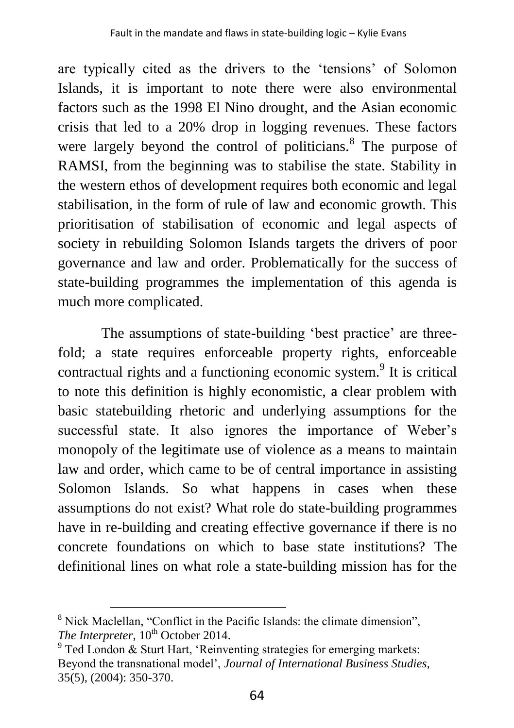are typically cited as the drivers to the 'tensions' of Solomon Islands, it is important to note there were also environmental factors such as the 1998 El Nino drought, and the Asian economic crisis that led to a 20% drop in logging revenues. These factors were largely beyond the control of politicians.<sup>8</sup> The purpose of RAMSI, from the beginning was to stabilise the state. Stability in the western ethos of development requires both economic and legal stabilisation, in the form of rule of law and economic growth. This prioritisation of stabilisation of economic and legal aspects of society in rebuilding Solomon Islands targets the drivers of poor governance and law and order. Problematically for the success of state-building programmes the implementation of this agenda is much more complicated.

The assumptions of state-building 'best practice' are threefold; a state requires enforceable property rights, enforceable contractual rights and a functioning economic system.<sup>9</sup> It is critical to note this definition is highly economistic, a clear problem with basic statebuilding rhetoric and underlying assumptions for the successful state. It also ignores the importance of Weber's monopoly of the legitimate use of violence as a means to maintain law and order, which came to be of central importance in assisting Solomon Islands. So what happens in cases when these assumptions do not exist? What role do state-building programmes have in re-building and creating effective governance if there is no concrete foundations on which to base state institutions? The definitional lines on what role a state-building mission has for the

<sup>&</sup>lt;sup>8</sup> Nick Maclellan, "Conflict in the Pacific Islands: the climate dimension". *The Interpreter*,  $10^{th}$  October 2014.

 $9^9$  Ted London & Sturt Hart, 'Reinventing strategies for emerging markets: Beyond the transnational model', *Journal of International Business Studies,* 35(5), (2004): 350-370.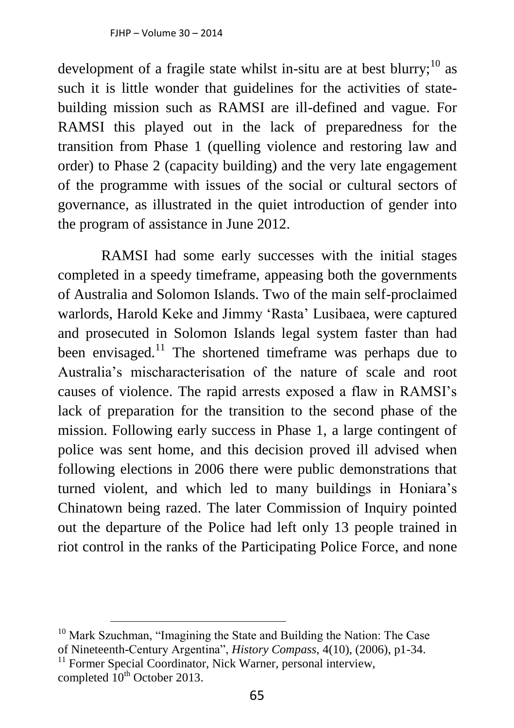development of a fragile state whilst in-situ are at best blurry;<sup>10</sup> as such it is little wonder that guidelines for the activities of statebuilding mission such as RAMSI are ill-defined and vague. For RAMSI this played out in the lack of preparedness for the transition from Phase 1 (quelling violence and restoring law and order) to Phase 2 (capacity building) and the very late engagement of the programme with issues of the social or cultural sectors of governance, as illustrated in the quiet introduction of gender into the program of assistance in June 2012.

RAMSI had some early successes with the initial stages completed in a speedy timeframe, appeasing both the governments of Australia and Solomon Islands. Two of the main self-proclaimed warlords, Harold Keke and Jimmy 'Rasta' Lusibaea, were captured and prosecuted in Solomon Islands legal system faster than had been envisaged.<sup>11</sup> The shortened timeframe was perhaps due to Australia's mischaracterisation of the nature of scale and root causes of violence. The rapid arrests exposed a flaw in RAMSI's lack of preparation for the transition to the second phase of the mission. Following early success in Phase 1, a large contingent of police was sent home, and this decision proved ill advised when following elections in 2006 there were public demonstrations that turned violent, and which led to many buildings in Honiara's Chinatown being razed. The later Commission of Inquiry pointed out the departure of the Police had left only 13 people trained in riot control in the ranks of the Participating Police Force, and none

<sup>&</sup>lt;sup>10</sup> Mark Szuchman, "Imagining the State and Building the Nation: The Case of Nineteenth-Century Argentina", *History Compass*, 4(10), (2006), p1-34. <sup>11</sup> Former Special Coordinator, Nick Warner, personal interview, completed  $10^{th}$  October 2013.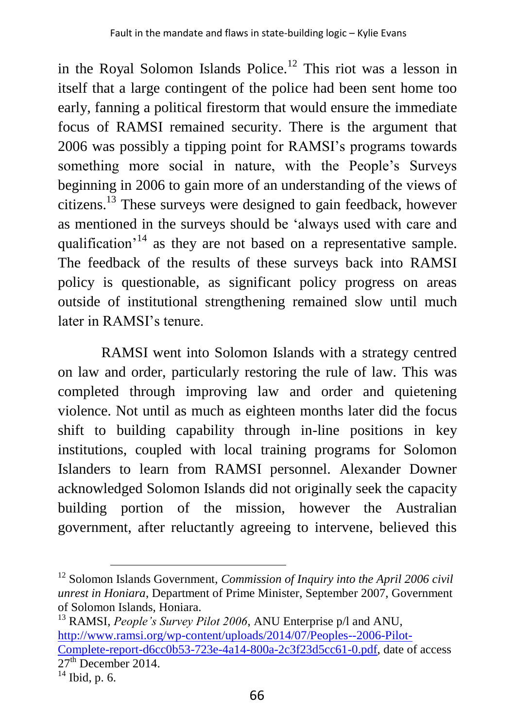in the Royal Solomon Islands Police.<sup>12</sup> This riot was a lesson in itself that a large contingent of the police had been sent home too early, fanning a political firestorm that would ensure the immediate focus of RAMSI remained security. There is the argument that 2006 was possibly a tipping point for RAMSI's programs towards something more social in nature, with the People's Surveys beginning in 2006 to gain more of an understanding of the views of citizens.<sup>13</sup> These surveys were designed to gain feedback, however as mentioned in the surveys should be 'always used with care and qualification<sup> $14$ </sup> as they are not based on a representative sample. The feedback of the results of these surveys back into RAMSI policy is questionable, as significant policy progress on areas outside of institutional strengthening remained slow until much later in RAMSI's tenure.

RAMSI went into Solomon Islands with a strategy centred on law and order, particularly restoring the rule of law. This was completed through improving law and order and quietening violence. Not until as much as eighteen months later did the focus shift to building capability through in-line positions in key institutions, coupled with local training programs for Solomon Islanders to learn from RAMSI personnel. Alexander Downer acknowledged Solomon Islands did not originally seek the capacity building portion of the mission, however the Australian government, after reluctantly agreeing to intervene, believed this

<sup>12</sup> Solomon Islands Government, *Commission of Inquiry into the April 2006 civil unrest in Honiara*, Department of Prime Minister, September 2007, Government of Solomon Islands, Honiara.

<sup>13</sup> RAMSI, *People's Survey Pilot 2006*, ANU Enterprise p/l and ANU, [http://www.ramsi.org/wp-content/uploads/2014/07/Peoples--2006-Pilot-](http://www.ramsi.org/wp-content/uploads/2014/07/Peoples-Survey-2006-Pilot-Complete-report-d6cc0b53-723e-4a14-800a-2c3f23d5cc61-0.pdf)[Complete-report-d6cc0b53-723e-4a14-800a-2c3f23d5cc61-0.pdf,](http://www.ramsi.org/wp-content/uploads/2014/07/Peoples-Survey-2006-Pilot-Complete-report-d6cc0b53-723e-4a14-800a-2c3f23d5cc61-0.pdf) date of access  $27<sup>th</sup>$  December 2014.

 $\overline{^{14}}$  Ibid, p. 6.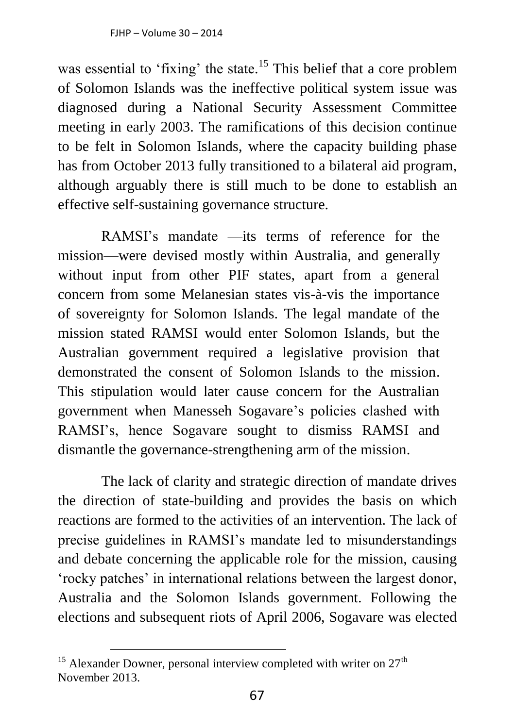was essential to 'fixing' the state.<sup>15</sup> This belief that a core problem of Solomon Islands was the ineffective political system issue was diagnosed during a National Security Assessment Committee meeting in early 2003. The ramifications of this decision continue to be felt in Solomon Islands, where the capacity building phase has from October 2013 fully transitioned to a bilateral aid program, although arguably there is still much to be done to establish an effective self-sustaining governance structure.

RAMSI's mandate —its terms of reference for the mission—were devised mostly within Australia, and generally without input from other PIF states, apart from a general concern from some Melanesian states vis-à-vis the importance of sovereignty for Solomon Islands. The legal mandate of the mission stated RAMSI would enter Solomon Islands, but the Australian government required a legislative provision that demonstrated the consent of Solomon Islands to the mission. This stipulation would later cause concern for the Australian government when Manesseh Sogavare's policies clashed with RAMSI's, hence Sogavare sought to dismiss RAMSI and dismantle the governance-strengthening arm of the mission.

The lack of clarity and strategic direction of mandate drives the direction of state-building and provides the basis on which reactions are formed to the activities of an intervention. The lack of precise guidelines in RAMSI's mandate led to misunderstandings and debate concerning the applicable role for the mission, causing 'rocky patches' in international relations between the largest donor, Australia and the Solomon Islands government. Following the elections and subsequent riots of April 2006, Sogavare was elected

<sup>&</sup>lt;sup>15</sup> Alexander Downer, personal interview completed with writer on  $27<sup>th</sup>$ November 2013.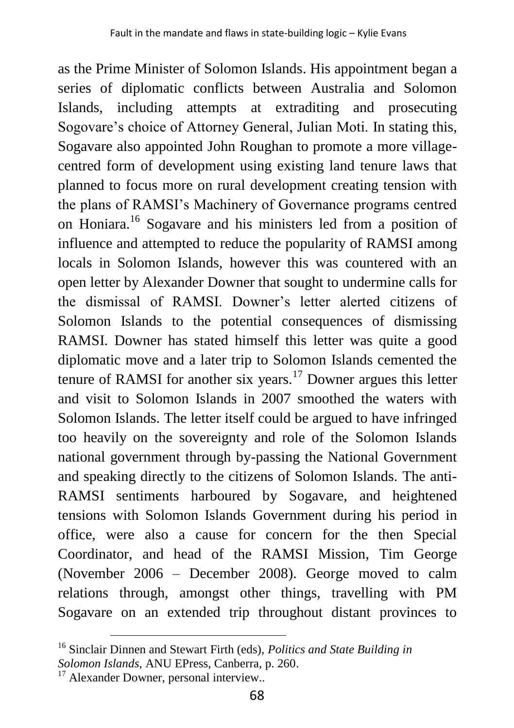as the Prime Minister of Solomon Islands. His appointment began a series of diplomatic conflicts between Australia and Solomon Islands, including attempts at extraditing and prosecuting Sogovare's choice of Attorney General, Julian Moti. In stating this, Sogavare also appointed John Roughan to promote a more villagecentred form of development using existing land tenure laws that planned to focus more on rural development creating tension with the plans of RAMSI's Machinery of Governance programs centred on Honiara.<sup>16</sup> Sogavare and his ministers led from a position of influence and attempted to reduce the popularity of RAMSI among locals in Solomon Islands, however this was countered with an open letter by Alexander Downer that sought to undermine calls for the dismissal of RAMSI. Downer's letter alerted citizens of Solomon Islands to the potential consequences of dismissing RAMSI. Downer has stated himself this letter was quite a good diplomatic move and a later trip to Solomon Islands cemented the tenure of RAMSI for another six years.<sup>17</sup> Downer argues this letter and visit to Solomon Islands in 2007 smoothed the waters with Solomon Islands. The letter itself could be argued to have infringed too heavily on the sovereignty and role of the Solomon Islands national government through by-passing the National Government and speaking directly to the citizens of Solomon Islands. The anti-RAMSI sentiments harboured by Sogavare, and heightened tensions with Solomon Islands Government during his period in office, were also a cause for concern for the then Special Coordinator, and head of the RAMSI Mission, Tim George (November 2006 – December 2008). George moved to calm relations through, amongst other things, travelling with PM Sogavare on an extended trip throughout distant provinces to

<sup>16</sup> Sinclair Dinnen and Stewart Firth (eds), *Politics and State Building in Solomon Islands*, ANU EPress, Canberra, p. 260.

<sup>&</sup>lt;sup>17</sup> Alexander Downer, personal interview..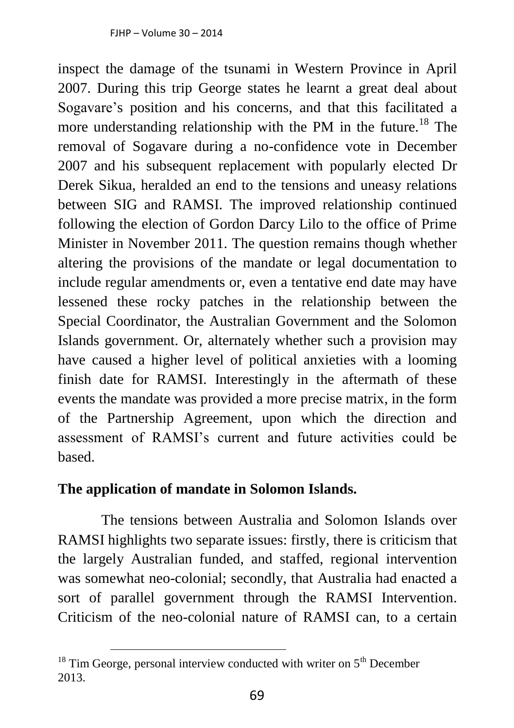inspect the damage of the tsunami in Western Province in April 2007. During this trip George states he learnt a great deal about Sogavare's position and his concerns, and that this facilitated a more understanding relationship with the PM in the future.<sup>18</sup> The removal of Sogavare during a no-confidence vote in December 2007 and his subsequent replacement with popularly elected Dr Derek Sikua, heralded an end to the tensions and uneasy relations between SIG and RAMSI. The improved relationship continued following the election of Gordon Darcy Lilo to the office of Prime Minister in November 2011. The question remains though whether altering the provisions of the mandate or legal documentation to include regular amendments or, even a tentative end date may have lessened these rocky patches in the relationship between the Special Coordinator, the Australian Government and the Solomon Islands government. Or, alternately whether such a provision may have caused a higher level of political anxieties with a looming finish date for RAMSI. Interestingly in the aftermath of these events the mandate was provided a more precise matrix, in the form of the Partnership Agreement, upon which the direction and assessment of RAMSI's current and future activities could be based.

#### **The application of mandate in Solomon Islands.**

 $\overline{a}$ 

The tensions between Australia and Solomon Islands over RAMSI highlights two separate issues: firstly, there is criticism that the largely Australian funded, and staffed, regional intervention was somewhat neo-colonial; secondly, that Australia had enacted a sort of parallel government through the RAMSI Intervention. Criticism of the neo-colonial nature of RAMSI can, to a certain

 $18$  Tim George, personal interview conducted with writer on  $5<sup>th</sup>$  December 2013.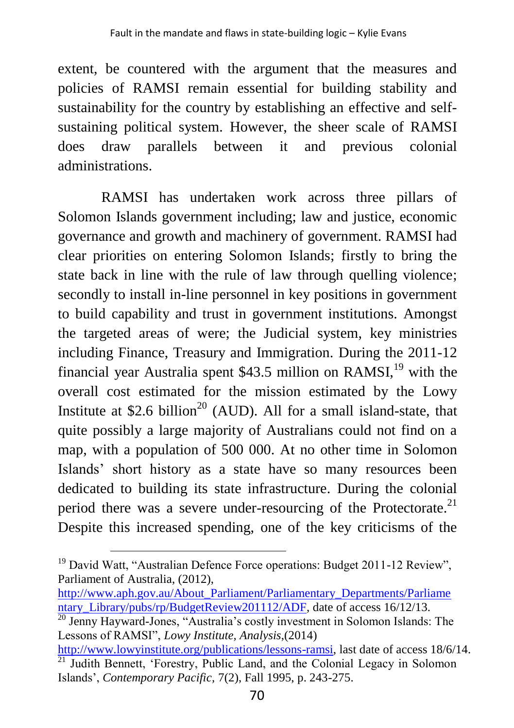extent, be countered with the argument that the measures and policies of RAMSI remain essential for building stability and sustainability for the country by establishing an effective and selfsustaining political system. However, the sheer scale of RAMSI does draw parallels between it and previous colonial administrations.

RAMSI has undertaken work across three pillars of Solomon Islands government including; law and justice, economic governance and growth and machinery of government. RAMSI had clear priorities on entering Solomon Islands; firstly to bring the state back in line with the rule of law through quelling violence; secondly to install in-line personnel in key positions in government to build capability and trust in government institutions. Amongst the targeted areas of were; the Judicial system, key ministries including Finance, Treasury and Immigration. During the 2011-12 financial year Australia spent \$43.5 million on RAMSI,<sup>19</sup> with the overall cost estimated for the mission estimated by the Lowy Institute at \$2.6 billion<sup>20</sup> (AUD). All for a small island-state, that quite possibly a large majority of Australians could not find on a map, with a population of 500 000. At no other time in Solomon Islands' short history as a state have so many resources been dedicated to building its state infrastructure. During the colonial period there was a severe under-resourcing of the Protectorate.<sup>21</sup> Despite this increased spending, one of the key criticisms of the

<sup>&</sup>lt;sup>19</sup> David Watt, "Australian Defence Force operations: Budget 2011-12 Review", Parliament of Australia, (2012),

[http://www.aph.gov.au/About\\_Parliament/Parliamentary\\_Departments/Parliame](http://www.aph.gov.au/About_Parliament/Parliamentary_Departments/Parliamentary_Library/pubs/rp/BudgetReview201112/ADF) [ntary\\_Library/pubs/rp/BudgetReview201112/ADF,](http://www.aph.gov.au/About_Parliament/Parliamentary_Departments/Parliamentary_Library/pubs/rp/BudgetReview201112/ADF) date of access 16/12/13.

 $\frac{20}{20}$  Jenny Hayward-Jones, "Australia's costly investment in Solomon Islands: The Lessons of RAMSI", *Lowy Institute, Analysis*,(2014)

[http://www.lowyinstitute.org/publications/lessons-ramsi,](http://www.lowyinstitute.org/publications/lessons-ramsi) last date of access 18/6/14.  $^{21}$  Judith Bennett, 'Forestry, Public Land, and the Colonial Legacy in Solomon Islands', *Contemporary Pacific,* 7(2), Fall 1995, p. 243-275.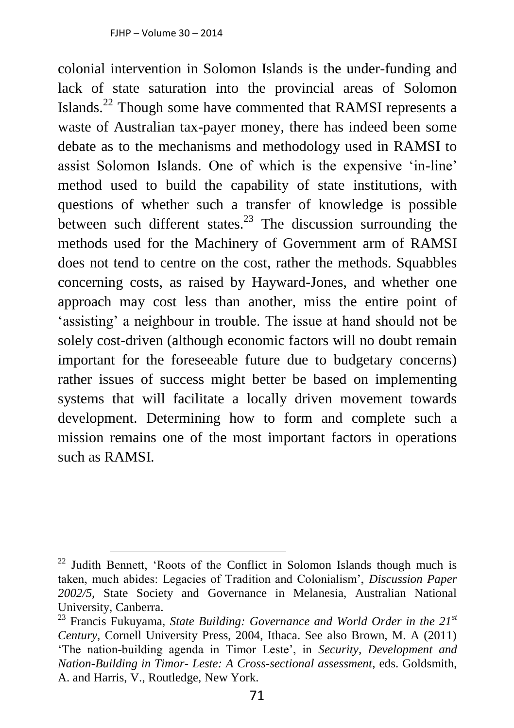colonial intervention in Solomon Islands is the under-funding and lack of state saturation into the provincial areas of Solomon Islands.<sup>22</sup> Though some have commented that RAMSI represents a waste of Australian tax-payer money, there has indeed been some debate as to the mechanisms and methodology used in RAMSI to assist Solomon Islands. One of which is the expensive 'in-line' method used to build the capability of state institutions, with questions of whether such a transfer of knowledge is possible between such different states.<sup>23</sup> The discussion surrounding the methods used for the Machinery of Government arm of RAMSI does not tend to centre on the cost, rather the methods. Squabbles concerning costs, as raised by Hayward-Jones, and whether one approach may cost less than another, miss the entire point of 'assisting' a neighbour in trouble. The issue at hand should not be solely cost-driven (although economic factors will no doubt remain important for the foreseeable future due to budgetary concerns) rather issues of success might better be based on implementing systems that will facilitate a locally driven movement towards development. Determining how to form and complete such a mission remains one of the most important factors in operations such as RAMSI.

 $22$  Judith Bennett, 'Roots of the Conflict in Solomon Islands though much is taken, much abides: Legacies of Tradition and Colonialism', *Discussion Paper 2002/5,* State Society and Governance in Melanesia, Australian National University, Canberra.

<sup>23</sup> Francis Fukuyama, *State Building: Governance and World Order in the 21st Century*, Cornell University Press, 2004, Ithaca. See also Brown, M. A (2011) 'The nation-building agenda in Timor Leste', in *Security, Development and Nation-Building in Timor- Leste: A Cross-sectional assessment*, eds. Goldsmith, A. and Harris, V., Routledge, New York.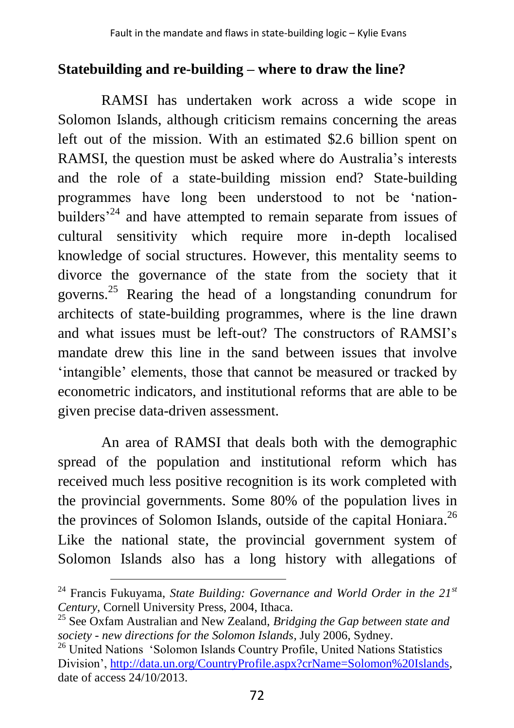#### **Statebuilding and re-building – where to draw the line?**

RAMSI has undertaken work across a wide scope in Solomon Islands, although criticism remains concerning the areas left out of the mission. With an estimated \$2.6 billion spent on RAMSI, the question must be asked where do Australia's interests and the role of a state-building mission end? State-building programmes have long been understood to not be 'nationbuilders<sup>24</sup> and have attempted to remain separate from issues of cultural sensitivity which require more in-depth localised knowledge of social structures. However, this mentality seems to divorce the governance of the state from the society that it governs.<sup>25</sup> Rearing the head of a longstanding conundrum for architects of state-building programmes, where is the line drawn and what issues must be left-out? The constructors of RAMSI's mandate drew this line in the sand between issues that involve 'intangible' elements, those that cannot be measured or tracked by econometric indicators, and institutional reforms that are able to be given precise data-driven assessment.

An area of RAMSI that deals both with the demographic spread of the population and institutional reform which has received much less positive recognition is its work completed with the provincial governments. Some 80% of the population lives in the provinces of Solomon Islands, outside of the capital Honiara.<sup>26</sup> Like the national state, the provincial government system of Solomon Islands also has a long history with allegations of

<sup>24</sup> Francis Fukuyama, *State Building: Governance and World Order in the 21st Century*, Cornell University Press, 2004, Ithaca.

<sup>25</sup> See Oxfam Australian and New Zealand, *Bridging the Gap between state and society - new directions for the Solomon Islands*, July 2006, Sydney.

<sup>&</sup>lt;sup>26</sup> United Nations 'Solomon Islands Country Profile, United Nations Statistics Division', [http://data.un.org/CountryProfile.aspx?crName=Solomon%20Islands,](http://data.un.org/CountryProfile.aspx?crName=Solomon%20Islands) date of access 24/10/2013.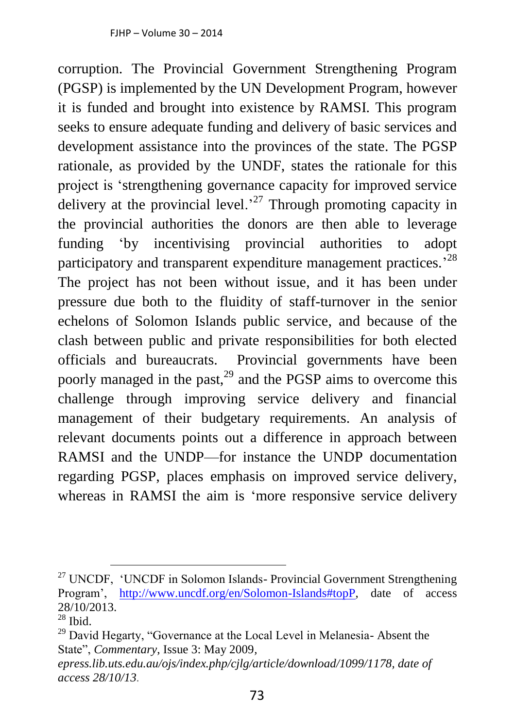corruption. The Provincial Government Strengthening Program (PGSP) is implemented by the UN Development Program, however it is funded and brought into existence by RAMSI. This program seeks to ensure adequate funding and delivery of basic services and development assistance into the provinces of the state. The PGSP rationale, as provided by the UNDF, states the rationale for this project is 'strengthening governance capacity for improved service delivery at the provincial level.<sup>27</sup> Through promoting capacity in the provincial authorities the donors are then able to leverage funding 'by incentivising provincial authorities to adopt participatory and transparent expenditure management practices.<sup>28</sup> The project has not been without issue, and it has been under pressure due both to the fluidity of staff-turnover in the senior echelons of Solomon Islands public service, and because of the clash between public and private responsibilities for both elected officials and bureaucrats. Provincial governments have been poorly managed in the past,<sup>29</sup> and the PGSP aims to overcome this challenge through improving service delivery and financial management of their budgetary requirements. An analysis of relevant documents points out a difference in approach between RAMSI and the UNDP—for instance the UNDP documentation regarding PGSP, places emphasis on improved service delivery, whereas in RAMSI the aim is 'more responsive service delivery

 $27$  UNCDF, 'UNCDF in Solomon Islands- Provincial Government Strengthening Program', [http://www.uncdf.org/en/Solomon-Islands#topP,](http://www.uncdf.org/en/Solomon-Islands#topP) date of access 28/10/2013.  $28$  Ibid.

<sup>&</sup>lt;sup>29</sup> David Hegarty, "Governance at the Local Level in Melanesia- Absent the State", *Commentary*, Issue 3: May 2009*,* 

*epress.lib.uts.edu.au/ojs/index.php/cjlg/article/download/1099/1178, date of access 28/10/13.*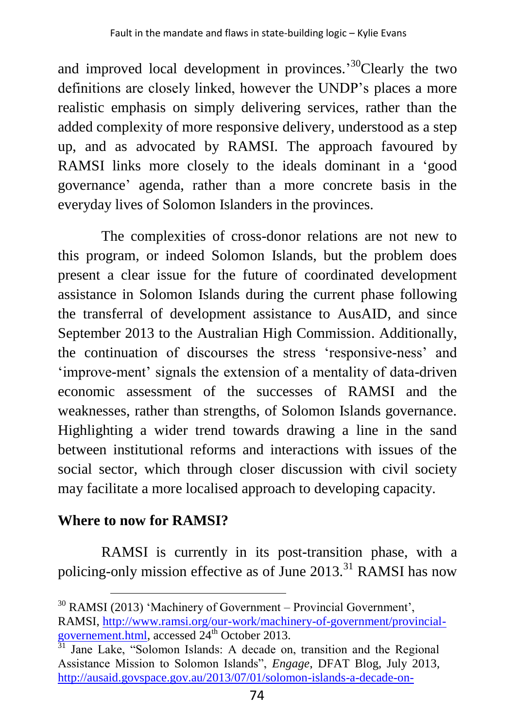and improved local development in provinces.<sup>30</sup>Clearly the two definitions are closely linked, however the UNDP's places a more realistic emphasis on simply delivering services, rather than the added complexity of more responsive delivery, understood as a step up, and as advocated by RAMSI. The approach favoured by RAMSI links more closely to the ideals dominant in a 'good governance' agenda, rather than a more concrete basis in the everyday lives of Solomon Islanders in the provinces.

The complexities of cross-donor relations are not new to this program, or indeed Solomon Islands, but the problem does present a clear issue for the future of coordinated development assistance in Solomon Islands during the current phase following the transferral of development assistance to AusAID, and since September 2013 to the Australian High Commission. Additionally, the continuation of discourses the stress 'responsive-ness' and 'improve-ment' signals the extension of a mentality of data-driven economic assessment of the successes of RAMSI and the weaknesses, rather than strengths, of Solomon Islands governance. Highlighting a wider trend towards drawing a line in the sand between institutional reforms and interactions with issues of the social sector, which through closer discussion with civil society may facilitate a more localised approach to developing capacity.

## **Where to now for RAMSI?**

 $\overline{a}$ 

RAMSI is currently in its post-transition phase, with a policing-only mission effective as of June 2013.<sup>31</sup> RAMSI has now

<sup>30</sup> RAMSI (2013) 'Machinery of Government – Provincial Government', RAMSI, [http://www.ramsi.org/our-work/machinery-of-government/provincial](http://www.ramsi.org/our-work/machinery-of-government/provincial-governement.html)[governement.html,](http://www.ramsi.org/our-work/machinery-of-government/provincial-governement.html) accessed 24<sup>th</sup> October 2013.

<sup>&</sup>lt;sup>31</sup> Jane Lake, "Solomon Islands: A decade on, transition and the Regional Assistance Mission to Solomon Islands", *Engage*, DFAT Blog, July 2013, [http://ausaid.govspace.gov.au/2013/07/01/solomon-islands-a-decade-on-](http://ausaid.govspace.gov.au/2013/07/01/solomon-islands-a-decade-on-transition-and-the-regional-assistance-mission-to-solomon-islands-ramsi/)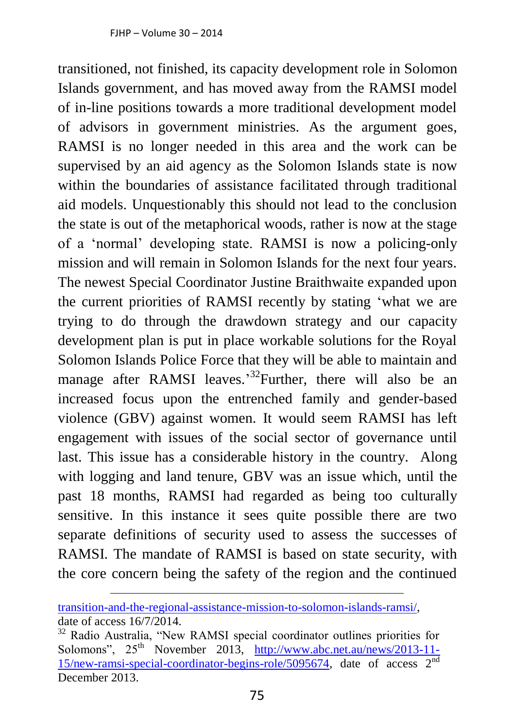transitioned, not finished, its capacity development role in Solomon Islands government, and has moved away from the RAMSI model of in-line positions towards a more traditional development model of advisors in government ministries. As the argument goes, RAMSI is no longer needed in this area and the work can be supervised by an aid agency as the Solomon Islands state is now within the boundaries of assistance facilitated through traditional aid models. Unquestionably this should not lead to the conclusion the state is out of the metaphorical woods, rather is now at the stage of a 'normal' developing state. RAMSI is now a policing-only mission and will remain in Solomon Islands for the next four years. The newest Special Coordinator Justine Braithwaite expanded upon the current priorities of RAMSI recently by stating 'what we are trying to do through the drawdown strategy and our capacity development plan is put in place workable solutions for the Royal Solomon Islands Police Force that they will be able to maintain and manage after RAMSI leaves.<sup>32</sup>Further, there will also be an increased focus upon the entrenched family and gender-based violence (GBV) against women. It would seem RAMSI has left engagement with issues of the social sector of governance until last. This issue has a considerable history in the country. Along with logging and land tenure, GBV was an issue which, until the past 18 months, RAMSI had regarded as being too culturally sensitive. In this instance it sees quite possible there are two separate definitions of security used to assess the successes of RAMSI. The mandate of RAMSI is based on state security, with the core concern being the safety of the region and the continued

[transition-and-the-regional-assistance-mission-to-solomon-islands-ramsi/,](http://ausaid.govspace.gov.au/2013/07/01/solomon-islands-a-decade-on-transition-and-the-regional-assistance-mission-to-solomon-islands-ramsi/) date of access 16/7/2014.

<sup>&</sup>lt;sup>32</sup> Radio Australia, "New RAMSI special coordinator outlines priorities for Solomons",  $25<sup>th</sup>$  November 2013, [http://www.abc.net.au/news/2013-11-](http://www.abc.net.au/news/2013-11-15/new-ramsi-special-coordinator-begins-role/5095674) [15/new-ramsi-special-coordinator-begins-role/5095674,](http://www.abc.net.au/news/2013-11-15/new-ramsi-special-coordinator-begins-role/5095674) date of access 2nd December 2013.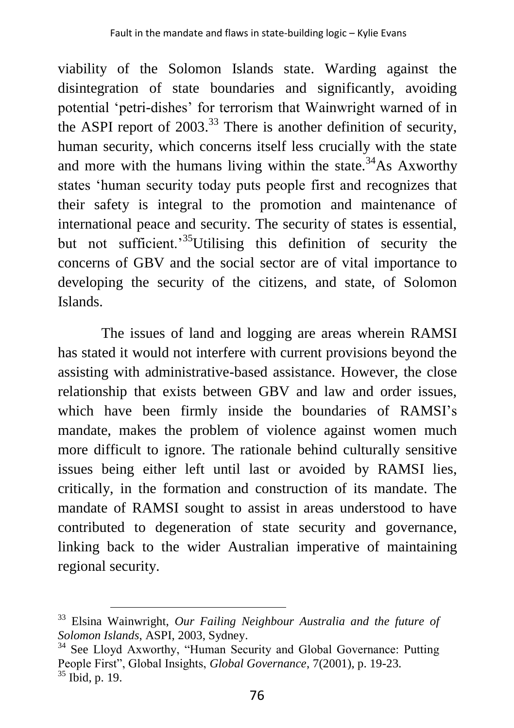viability of the Solomon Islands state. Warding against the disintegration of state boundaries and significantly, avoiding potential 'petri-dishes' for terrorism that Wainwright warned of in the ASPI report of  $2003<sup>33</sup>$  There is another definition of security, human security, which concerns itself less crucially with the state and more with the humans living within the state.<sup>34</sup>As Axworthy states 'human security today puts people first and recognizes that their safety is integral to the promotion and maintenance of international peace and security. The security of states is essential, but not sufficient.<sup>35</sup>Utilising this definition of security the concerns of GBV and the social sector are of vital importance to developing the security of the citizens, and state, of Solomon Islands.

The issues of land and logging are areas wherein RAMSI has stated it would not interfere with current provisions beyond the assisting with administrative-based assistance. However, the close relationship that exists between GBV and law and order issues, which have been firmly inside the boundaries of RAMSI's mandate, makes the problem of violence against women much more difficult to ignore. The rationale behind culturally sensitive issues being either left until last or avoided by RAMSI lies, critically, in the formation and construction of its mandate. The mandate of RAMSI sought to assist in areas understood to have contributed to degeneration of state security and governance, linking back to the wider Australian imperative of maintaining regional security.

<sup>33</sup> Elsina Wainwright, *Our Failing Neighbour Australia and the future of Solomon Islands*, ASPI, 2003, Sydney.

<sup>&</sup>lt;sup>34</sup> See Lloyd Axworthy, "Human Security and Global Governance: Putting People First", Global Insights, *Global Governance*, 7(2001), p. 19-23. <sup>35</sup> Ibid, p. 19.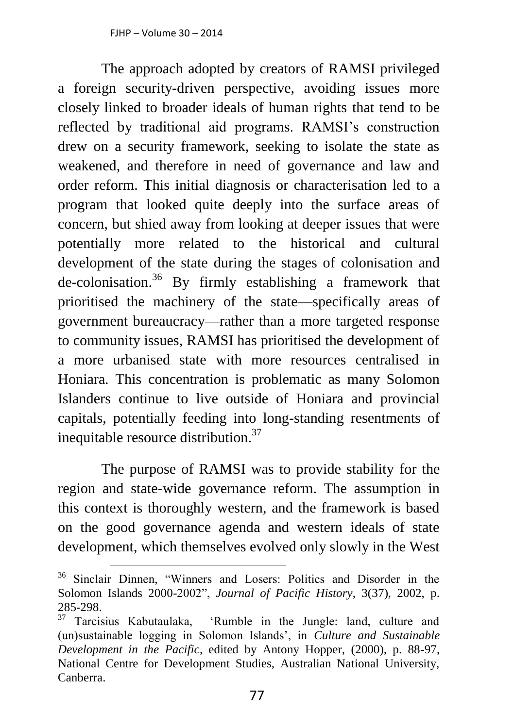The approach adopted by creators of RAMSI privileged a foreign security-driven perspective, avoiding issues more closely linked to broader ideals of human rights that tend to be reflected by traditional aid programs. RAMSI's construction drew on a security framework, seeking to isolate the state as weakened, and therefore in need of governance and law and order reform. This initial diagnosis or characterisation led to a program that looked quite deeply into the surface areas of concern, but shied away from looking at deeper issues that were potentially more related to the historical and cultural development of the state during the stages of colonisation and de-colonisation. <sup>36</sup> By firmly establishing a framework that prioritised the machinery of the state—specifically areas of government bureaucracy—rather than a more targeted response to community issues, RAMSI has prioritised the development of a more urbanised state with more resources centralised in Honiara. This concentration is problematic as many Solomon Islanders continue to live outside of Honiara and provincial capitals, potentially feeding into long-standing resentments of inequitable resource distribution. $37$ 

The purpose of RAMSI was to provide stability for the region and state-wide governance reform. The assumption in this context is thoroughly western, and the framework is based on the good governance agenda and western ideals of state development, which themselves evolved only slowly in the West

<sup>36</sup> Sinclair Dinnen, "Winners and Losers: Politics and Disorder in the Solomon Islands 2000-2002", *Journal of Pacific History*, 3(37), 2002, p. 285-298.

<sup>37</sup> Tarcisius Kabutaulaka, 'Rumble in the Jungle: land, culture and (un)sustainable logging in Solomon Islands', in *Culture and Sustainable Development in the Pacific*, edited by Antony Hopper, (2000), p. 88-97, National Centre for Development Studies, Australian National University, Canberra.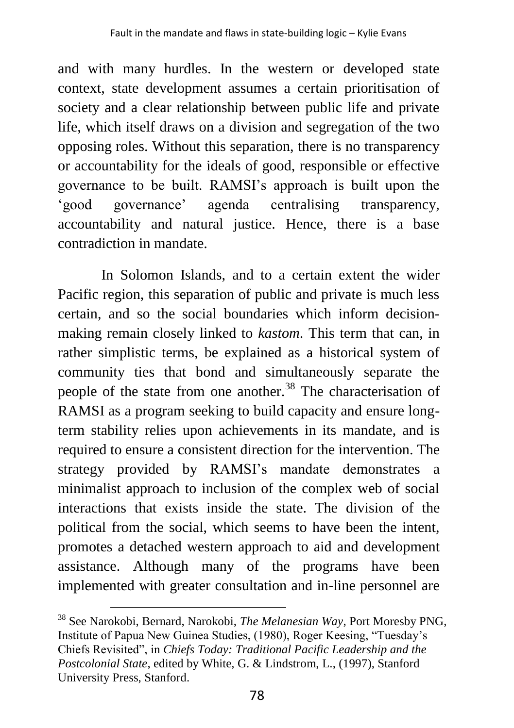and with many hurdles. In the western or developed state context, state development assumes a certain prioritisation of society and a clear relationship between public life and private life, which itself draws on a division and segregation of the two opposing roles. Without this separation, there is no transparency or accountability for the ideals of good, responsible or effective governance to be built. RAMSI's approach is built upon the 'good governance' agenda centralising transparency, accountability and natural justice. Hence, there is a base contradiction in mandate.

In Solomon Islands, and to a certain extent the wider Pacific region, this separation of public and private is much less certain, and so the social boundaries which inform decisionmaking remain closely linked to *kastom*. This term that can, in rather simplistic terms, be explained as a historical system of community ties that bond and simultaneously separate the people of the state from one another.<sup>38</sup> The characterisation of RAMSI as a program seeking to build capacity and ensure longterm stability relies upon achievements in its mandate, and is required to ensure a consistent direction for the intervention. The strategy provided by RAMSI's mandate demonstrates a minimalist approach to inclusion of the complex web of social interactions that exists inside the state. The division of the political from the social, which seems to have been the intent, promotes a detached western approach to aid and development assistance. Although many of the programs have been implemented with greater consultation and in-line personnel are

<sup>38</sup> See Narokobi, Bernard, Narokobi, *The Melanesian Way*, Port Moresby PNG, Institute of Papua New Guinea Studies, (1980), Roger Keesing, "Tuesday's Chiefs Revisited", in *Chiefs Today: Traditional Pacific Leadership and the Postcolonial State*, edited by White, G. & Lindstrom, L., (1997), Stanford University Press, Stanford.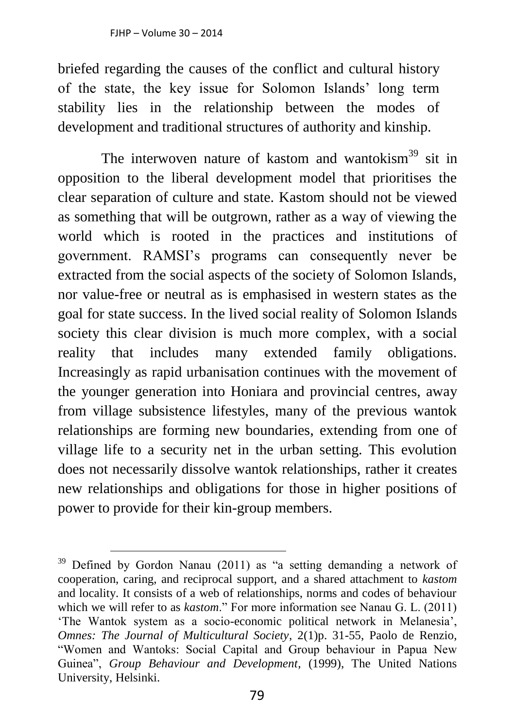$\overline{a}$ 

briefed regarding the causes of the conflict and cultural history of the state, the key issue for Solomon Islands' long term stability lies in the relationship between the modes of development and traditional structures of authority and kinship.

The interwoven nature of kastom and wantokism $39$  sit in opposition to the liberal development model that prioritises the clear separation of culture and state. Kastom should not be viewed as something that will be outgrown, rather as a way of viewing the world which is rooted in the practices and institutions of government. RAMSI's programs can consequently never be extracted from the social aspects of the society of Solomon Islands, nor value-free or neutral as is emphasised in western states as the goal for state success. In the lived social reality of Solomon Islands society this clear division is much more complex, with a social reality that includes many extended family obligations. Increasingly as rapid urbanisation continues with the movement of the younger generation into Honiara and provincial centres, away from village subsistence lifestyles, many of the previous wantok relationships are forming new boundaries, extending from one of village life to a security net in the urban setting. This evolution does not necessarily dissolve wantok relationships, rather it creates new relationships and obligations for those in higher positions of power to provide for their kin-group members.

 $39$  Defined by Gordon Nanau (2011) as "a setting demanding a network of cooperation, caring, and reciprocal support, and a shared attachment to *kastom* and locality. It consists of a web of relationships, norms and codes of behaviour which we will refer to as *kastom*." For more information see Nanau G. L. (2011) 'The Wantok system as a socio-economic political network in Melanesia', *Omnes: The Journal of Multicultural Society*, 2(1)p. 31-55, Paolo de Renzio, "Women and Wantoks: Social Capital and Group behaviour in Papua New Guinea", *Group Behaviour and Development*, (1999), The United Nations University, Helsinki.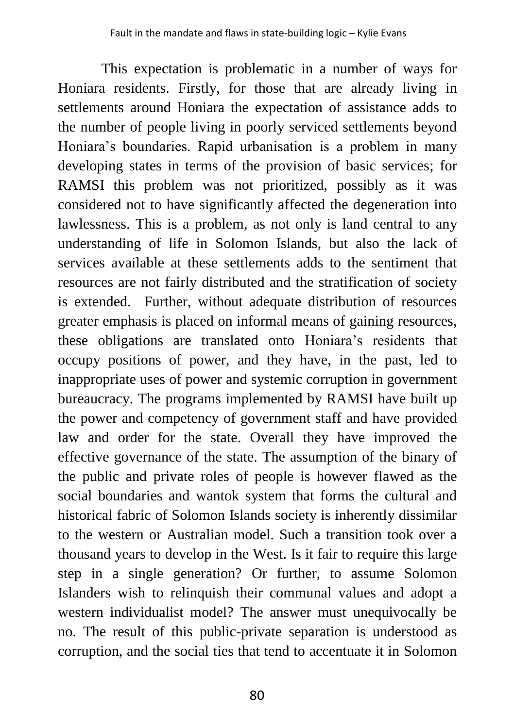This expectation is problematic in a number of ways for Honiara residents. Firstly, for those that are already living in settlements around Honiara the expectation of assistance adds to the number of people living in poorly serviced settlements beyond Honiara's boundaries. Rapid urbanisation is a problem in many developing states in terms of the provision of basic services; for RAMSI this problem was not prioritized, possibly as it was considered not to have significantly affected the degeneration into lawlessness. This is a problem, as not only is land central to any understanding of life in Solomon Islands, but also the lack of services available at these settlements adds to the sentiment that resources are not fairly distributed and the stratification of society is extended. Further, without adequate distribution of resources greater emphasis is placed on informal means of gaining resources, these obligations are translated onto Honiara's residents that occupy positions of power, and they have, in the past, led to inappropriate uses of power and systemic corruption in government bureaucracy. The programs implemented by RAMSI have built up the power and competency of government staff and have provided law and order for the state. Overall they have improved the effective governance of the state. The assumption of the binary of the public and private roles of people is however flawed as the social boundaries and wantok system that forms the cultural and historical fabric of Solomon Islands society is inherently dissimilar to the western or Australian model. Such a transition took over a thousand years to develop in the West. Is it fair to require this large step in a single generation? Or further, to assume Solomon Islanders wish to relinquish their communal values and adopt a western individualist model? The answer must unequivocally be no. The result of this public-private separation is understood as corruption, and the social ties that tend to accentuate it in Solomon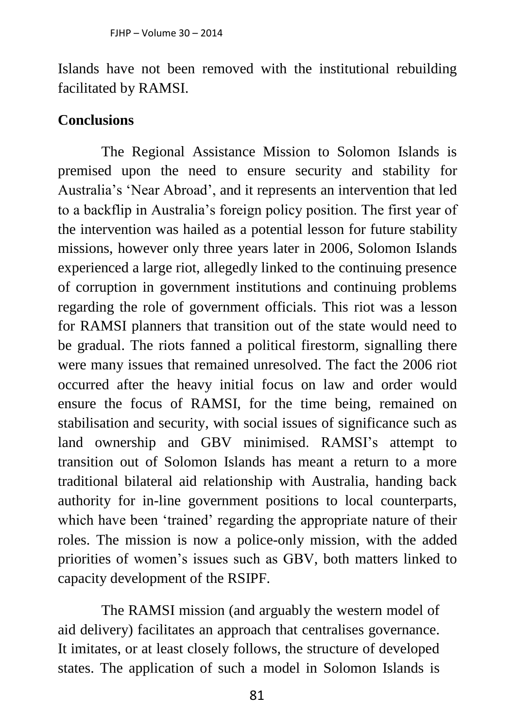Islands have not been removed with the institutional rebuilding facilitated by RAMSI.

#### **Conclusions**

The Regional Assistance Mission to Solomon Islands is premised upon the need to ensure security and stability for Australia's 'Near Abroad', and it represents an intervention that led to a backflip in Australia's foreign policy position. The first year of the intervention was hailed as a potential lesson for future stability missions, however only three years later in 2006, Solomon Islands experienced a large riot, allegedly linked to the continuing presence of corruption in government institutions and continuing problems regarding the role of government officials. This riot was a lesson for RAMSI planners that transition out of the state would need to be gradual. The riots fanned a political firestorm, signalling there were many issues that remained unresolved. The fact the 2006 riot occurred after the heavy initial focus on law and order would ensure the focus of RAMSI, for the time being, remained on stabilisation and security, with social issues of significance such as land ownership and GBV minimised. RAMSI's attempt to transition out of Solomon Islands has meant a return to a more traditional bilateral aid relationship with Australia, handing back authority for in-line government positions to local counterparts, which have been 'trained' regarding the appropriate nature of their roles. The mission is now a police-only mission, with the added priorities of women's issues such as GBV, both matters linked to capacity development of the RSIPF.

The RAMSI mission (and arguably the western model of aid delivery) facilitates an approach that centralises governance. It imitates, or at least closely follows, the structure of developed states. The application of such a model in Solomon Islands is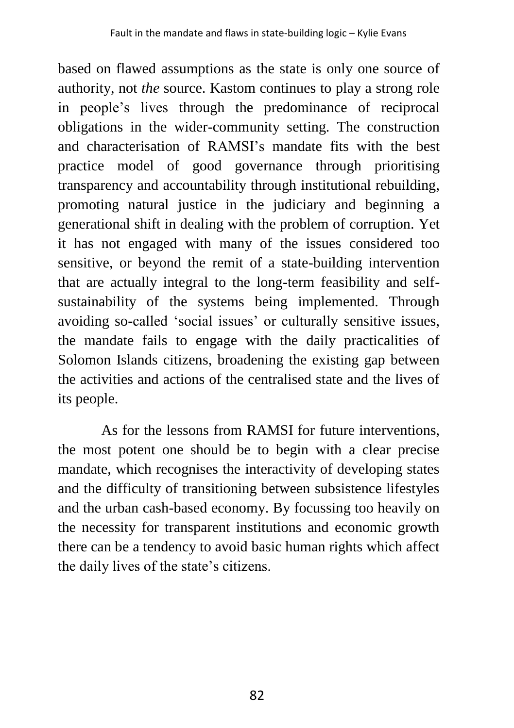based on flawed assumptions as the state is only one source of authority, not *the* source. Kastom continues to play a strong role in people's lives through the predominance of reciprocal obligations in the wider-community setting. The construction and characterisation of RAMSI's mandate fits with the best practice model of good governance through prioritising transparency and accountability through institutional rebuilding, promoting natural justice in the judiciary and beginning a generational shift in dealing with the problem of corruption. Yet it has not engaged with many of the issues considered too sensitive, or beyond the remit of a state-building intervention that are actually integral to the long-term feasibility and selfsustainability of the systems being implemented. Through avoiding so-called 'social issues' or culturally sensitive issues, the mandate fails to engage with the daily practicalities of Solomon Islands citizens, broadening the existing gap between the activities and actions of the centralised state and the lives of its people.

As for the lessons from RAMSI for future interventions, the most potent one should be to begin with a clear precise mandate, which recognises the interactivity of developing states and the difficulty of transitioning between subsistence lifestyles and the urban cash-based economy. By focussing too heavily on the necessity for transparent institutions and economic growth there can be a tendency to avoid basic human rights which affect the daily lives of the state's citizens.